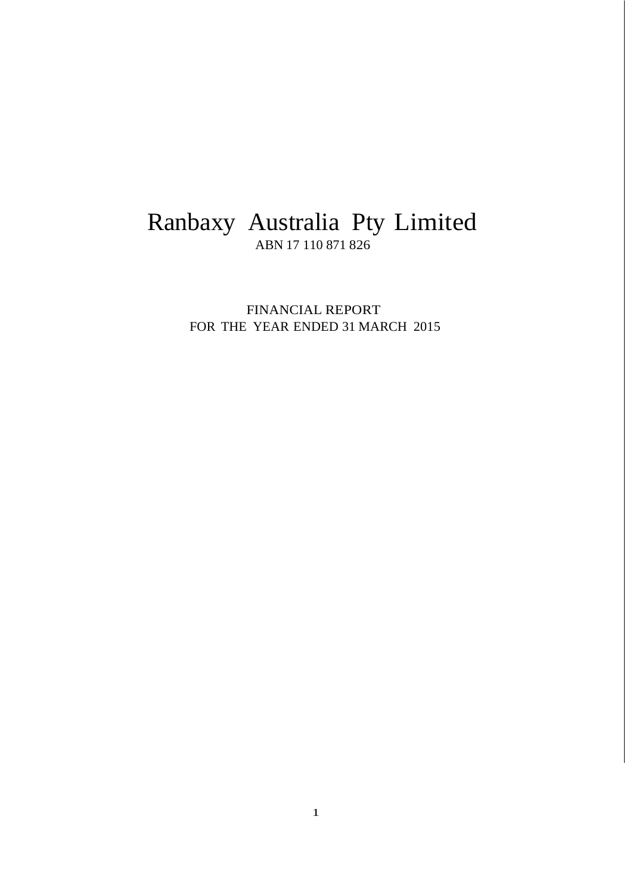FINANCIAL REPORT FOR THE YEAR ENDED 31 MARCH 2015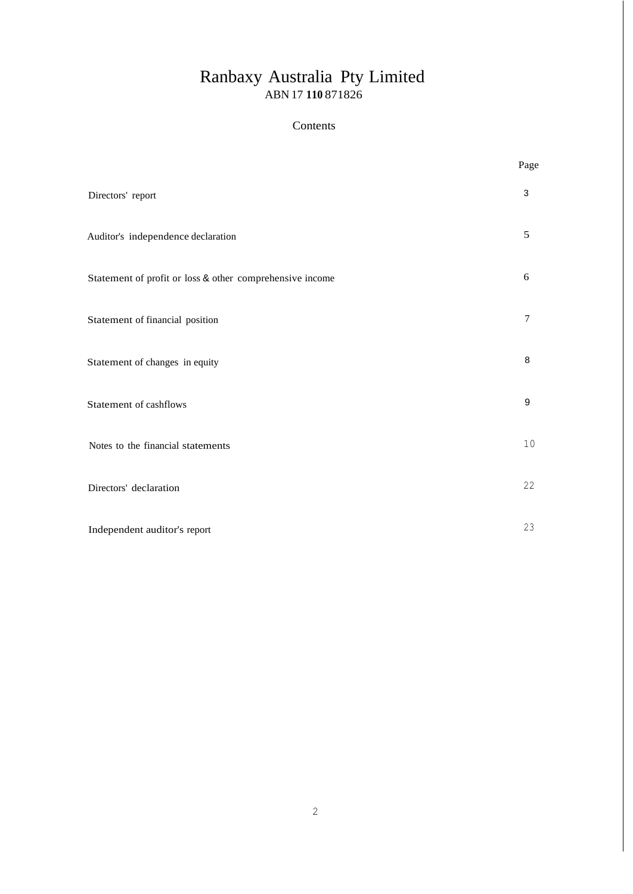## Contents

Page

| Directors' report                                        | 3      |
|----------------------------------------------------------|--------|
| Auditor's independence declaration                       | 5      |
| Statement of profit or loss & other comprehensive income | 6      |
| Statement of financial position                          | $\tau$ |
| Statement of changes in equity                           | 8      |
| Statement of cashflows                                   | 9      |
| Notes to the financial statements                        | 10     |
| Directors' declaration                                   | 22     |
| Independent auditor's report                             | 23     |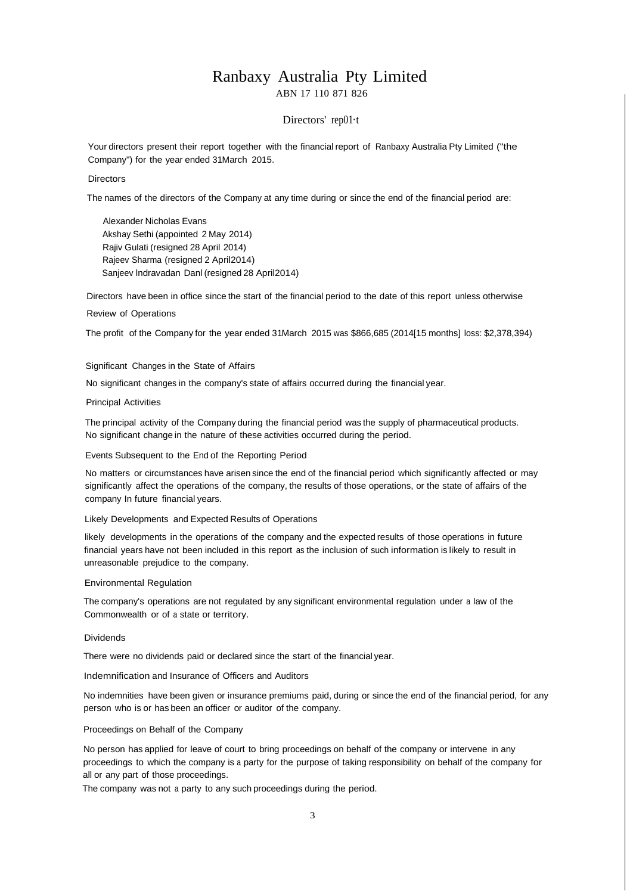# Ranbaxy Australia Pty Limited

ABN 17 110 871 826

#### Directors' rep01·t

Your directors present their report together with the financial report of Ranbaxy Australia Pty Limited ("the Company") for the year ended 31March 2015.

#### **Directors**

The names of the directors of the Company at any time during or since the end of the financial period are:

Alexander Nicholas Evans Akshay Sethi (appointed 2 May 2014) Rajiv Gulati (resigned 28 April 2014) Rajeev Sharma (resigned 2 April2014) Sanjeev lndravadan Danl (resigned 28 April2014)

Directors have been in office since the start of the financial period to the date of this report unless otherwise

#### Review of Operations

The profit of the Company for the year ended 31March 2015 was \$866,685 (2014[15 months] loss: \$2,378,394)

#### Significant Changes in the State of Affairs

No significant changes in the company's state of affairs occurred during the financial year.

#### Principal Activities

The principal activity of the Company during the financial period was the supply of pharmaceutical products. No significant change in the nature of these activities occurred during the period.

Events Subsequent to the End of the Reporting Period

No matters or circumstances have arisen since the end of the financial period which significantly affected or may significantly affect the operations of the company, the results of those operations, or the state of affairs of the company In future financial years.

Likely Developments and Expected Results of Operations

likely developments in the operations of the company and the expected results of those operations in future financial years have not been included in this report as the inclusion of such information is likely to result in unreasonable prejudice to the company.

#### Environmental Regulation

The company's operations are not regulated by any significant environmental regulation under a law of the Commonwealth or of a state or territory.

#### Dividends

There were no dividends paid or declared since the start of the financial year.

Indemnification and Insurance of Officers and Auditors

No indemnities have been given or insurance premiums paid, during or since the end of the financial period, for any person who is or has been an officer or auditor of the company.

#### Proceedings on Behalf of the Company

No person has applied for leave of court to bring proceedings on behalf of the company or intervene in any proceedings to which the company is a party for the purpose of taking responsibility on behalf of the company for all or any part of those proceedings.

The company was not a party to any such proceedings during the period.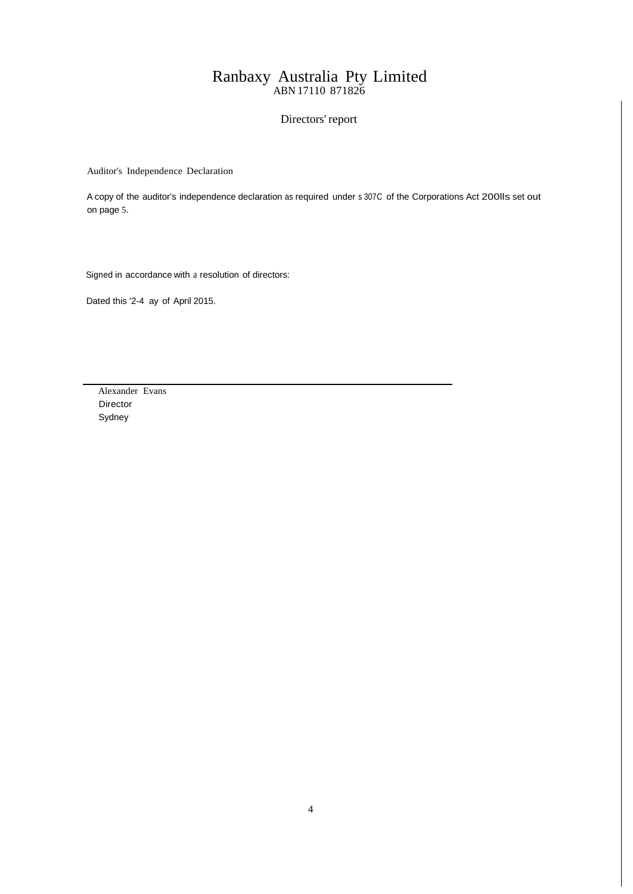Directors' report

Auditor's Independence Declaration

A copy of the auditor's independence declaration as required under s 307C of the Corporations Act 200lls set out on page 5.

Signed in accordance with a resolution of directors:

Dated this '2-4 ay of April 2015.

Alexander Evans Director Sydney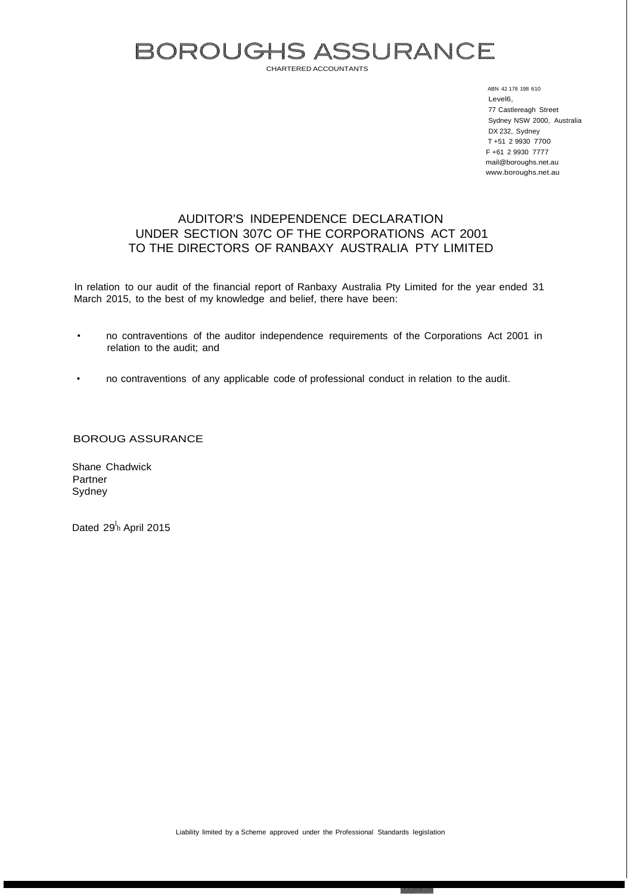# BOROUGHS ASSURANCE

CHARTERED ACCOUNTANTS

ABN 42 178 198 610 Level6, 77 Castlereagh Street Sydney NSW 2000, Australia DX 232, Sydney T +51 2 9930 7700 F +61 2 9930 7777 [mail@boroughs.net.au](mailto:mail@boroughs.net.au)  [www.boroughs.net.au](http://www.boroughs.net.au/)

# AUDITOR'S INDEPENDENCE DECLARATION UNDER SECTION 307C OF THE CORPORATIONS ACT 2001 TO THE DIRECTORS OF RANBAXY AUSTRALIA PTY LIMITED

In relation to our audit of the financial report of Ranbaxy Australia Pty Limited for the year ended 31 March 2015, to the best of my knowledge and belief, there have been:

- no contraventions of the auditor independence requirements of the Corporations Act 2001 in relation to the audit; and
- no contraventions of any applicable code of professional conduct in relation to the audit.

BOROUG ASSURANCE

Shane Chadwick Partner Sydney

Dated 29<sup>1</sup>h April 2015

Liability limited by a Scheme approved under the Professional Standards legislation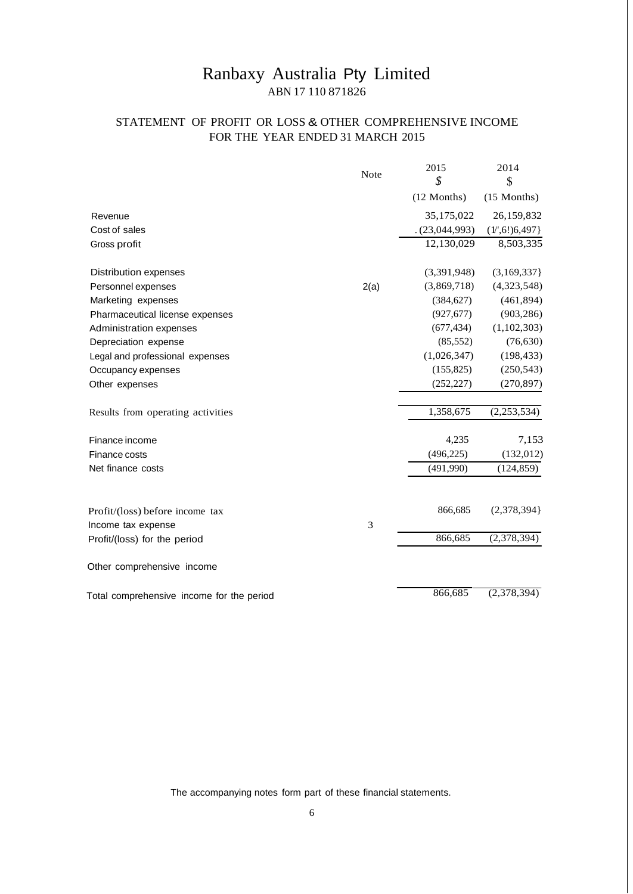# STATEMENT OF PROFIT OR LOSS & OTHER COMPREHENSIVE INCOME FOR THE YEAR ENDED 31 MARCH 2015

|                                           | Note                        | 2015<br>\$    | 2014              |
|-------------------------------------------|-----------------------------|---------------|-------------------|
|                                           |                             |               | \$                |
|                                           |                             | $(12$ Months) | $(15$ Months)     |
| Revenue                                   |                             | 35,175,022    | 26,159,832        |
| Cost of sales                             |                             | (23,044,993)  | $(1', 6!)$ 6,497} |
| Gross profit                              |                             | 12,130,029    | 8,503,335         |
| Distribution expenses                     |                             | (3,391,948)   | (3,169,337)       |
| Personnel expenses                        | 2(a)                        | (3,869,718)   | (4,323,548)       |
| Marketing expenses                        |                             | (384, 627)    | (461,894)         |
| Pharmaceutical license expenses           |                             | (927, 677)    | (903, 286)        |
| Administration expenses                   |                             | (677, 434)    | (1,102,303)       |
| Depreciation expense                      |                             | (85, 552)     | (76, 630)         |
| Legal and professional expenses           |                             | (1,026,347)   | (198, 433)        |
| Occupancy expenses                        |                             | (155, 825)    | (250, 543)        |
| Other expenses                            |                             | (252, 227)    | (270, 897)        |
| Results from operating activities         |                             | 1,358,675     | (2, 253, 534)     |
| Finance income                            |                             | 4,235         | 7,153             |
| Finance costs                             |                             | (496, 225)    | (132, 012)        |
| Net finance costs                         |                             | (491,990)     | (124, 859)        |
| Profit/(loss) before income tax           |                             | 866,685       | (2,378,394)       |
| Income tax expense                        | $\ensuremath{\mathfrak{Z}}$ |               |                   |
| Profit/(loss) for the period              |                             | 866,685       | (2,378,394)       |
| Other comprehensive income                |                             |               |                   |
| Total comprehensive income for the period |                             | 866,685       | (2,378,394)       |

The accompanying notes form part of these financial statements.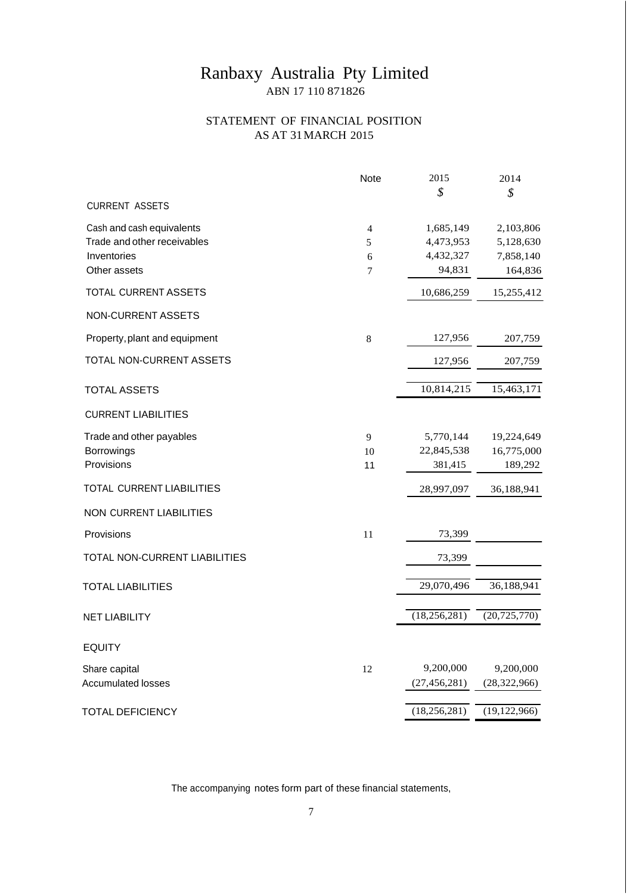# STATEMENT OF FINANCIAL POSITION AS AT 31MARCH 2015

|                               | Note           | 2015<br>\$     | 2014<br>\$     |
|-------------------------------|----------------|----------------|----------------|
| <b>CURRENT ASSETS</b>         |                |                |                |
| Cash and cash equivalents     | $\overline{4}$ | 1,685,149      | 2,103,806      |
| Trade and other receivables   | 5              | 4,473,953      | 5,128,630      |
| Inventories                   | 6              | 4,432,327      | 7,858,140      |
| Other assets                  | 7              | 94,831         | 164,836        |
| TOTAL CURRENT ASSETS          |                | 10,686,259     | 15,255,412     |
| NON-CURRENT ASSETS            |                |                |                |
| Property, plant and equipment | 8              | 127,956        | 207,759        |
| TOTAL NON-CURRENT ASSETS      |                | 127,956        | 207,759        |
| <b>TOTAL ASSETS</b>           |                | 10,814,215     | 15,463,171     |
| <b>CURRENT LIABILITIES</b>    |                |                |                |
| Trade and other payables      | 9              | 5,770,144      | 19,224,649     |
| Borrowings                    | 10             | 22,845,538     | 16,775,000     |
| Provisions                    | 11             | 381,415        | 189,292        |
| TOTAL CURRENT LIABILITIES     |                | 28,997,097     | 36,188,941     |
| NON CURRENT LIABILITIES       |                |                |                |
| Provisions                    | 11             | 73,399         |                |
| TOTAL NON-CURRENT LIABILITIES |                | 73,399         |                |
| <b>TOTAL LIABILITIES</b>      |                | 29,070,496     | 36,188,941     |
| <b>NET LIABILITY</b>          |                | (18, 256, 281) | (20, 725, 770) |
| <b>EQUITY</b>                 |                |                |                |
| Share capital                 | 12             | 9,200,000      | 9,200,000      |
| <b>Accumulated losses</b>     |                | (27, 456, 281) | (28, 322, 966) |
| <b>TOTAL DEFICIENCY</b>       |                | (18, 256, 281) | (19, 122, 966) |

The accompanying notes form part of these financial statements,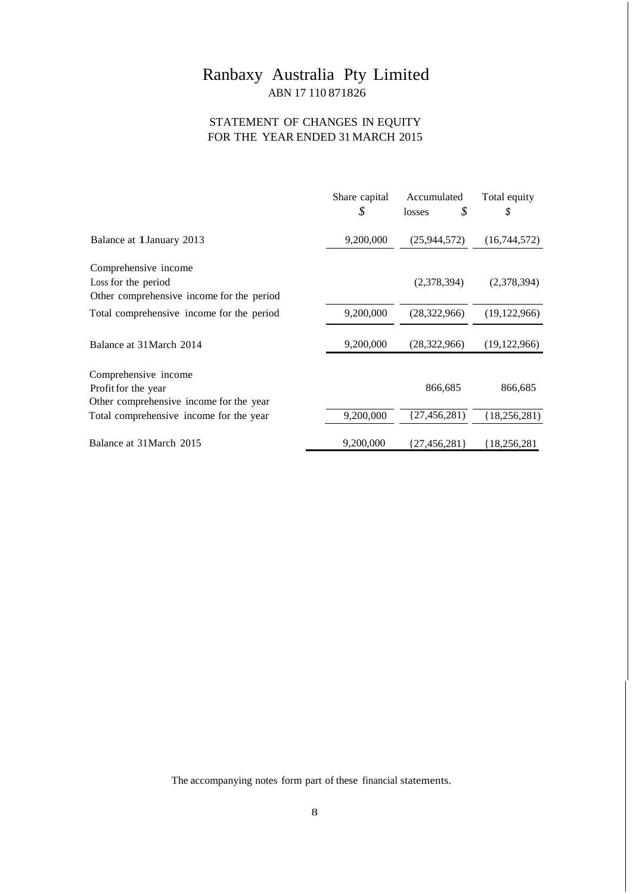# STATEMENT OF CHANGES IN EQUITY FOR THE YEAR ENDED 31 MARCH 2015

|                                           | Share capital | Accumulated        | Total equity   |
|-------------------------------------------|---------------|--------------------|----------------|
|                                           | \$            | losses             | \$<br>\$       |
| Balance at 1 January 2013                 | 9,200,000     | (25,944,572)       | (16,744,572)   |
| Comprehensive income                      |               |                    |                |
| Loss for the period                       |               | (2,378,394)        | (2,378,394)    |
| Other comprehensive income for the period |               |                    |                |
| Total comprehensive income for the period | 9,200,000     | (28, 322, 966)     | (19, 122, 966) |
| Balance at 31 March 2014                  | 9,200,000     | (28,322,966)       | (19, 122, 966) |
| Comprehensive income                      |               |                    |                |
| Profit for the year                       |               | 866,685            | 866,685        |
| Other comprehensive income for the year   |               |                    |                |
| Total comprehensive income for the year   | 9,200,000     | $\{27, 456, 281\}$ | ${18,256,281}$ |
| Balance at 31 March 2015                  | 9,200,000     | {27,456,281}       | 18,256,281     |

The accompanying notes form part of these financial statements.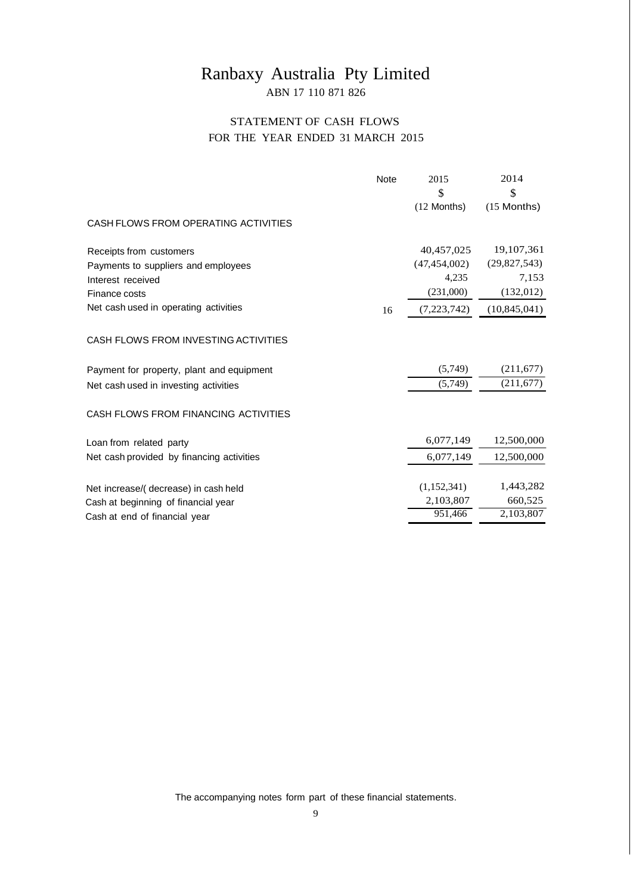# Ranbaxy Australia Pty Limited

ABN 17 110 871 826

# STATEMENT OF CASH FLOWS FOR THE YEAR ENDED 31 MARCH 2015

|                                           | <b>Note</b> | 2015           | 2014           |
|-------------------------------------------|-------------|----------------|----------------|
|                                           |             | \$             | \$             |
|                                           |             | $(12$ Months)  | $(15$ Months)  |
| CASH FLOWS FROM OPERATING ACTIVITIES      |             |                |                |
| Receipts from customers                   |             | 40,457,025     | 19, 107, 361   |
| Payments to suppliers and employees       |             | (47, 454, 002) | (29,827,543)   |
| Interest received                         |             | 4,235          | 7,153          |
| Finance costs                             |             | (231,000)      | (132,012)      |
| Net cash used in operating activities     | 16          | (7,223,742)    | (10, 845, 041) |
| CASH FLOWS FROM INVESTING ACTIVITIES      |             |                |                |
| Payment for property, plant and equipment |             | (5,749)        | (211,677)      |
| Net cash used in investing activities     |             | (5,749)        | (211,677)      |
| CASH FLOWS FROM FINANCING ACTIVITIES      |             |                |                |
| Loan from related party                   |             | 6,077,149      | 12,500,000     |
| Net cash provided by financing activities |             | 6,077,149      | 12,500,000     |
| Net increase/(decrease) in cash held      |             | (1,152,341)    | 1,443,282      |
| Cash at beginning of financial year       |             | 2,103,807      | 660,525        |
| Cash at end of financial year             |             | 951,466        | 2,103,807      |
|                                           |             |                |                |

The accompanying notes form part of these financial statements.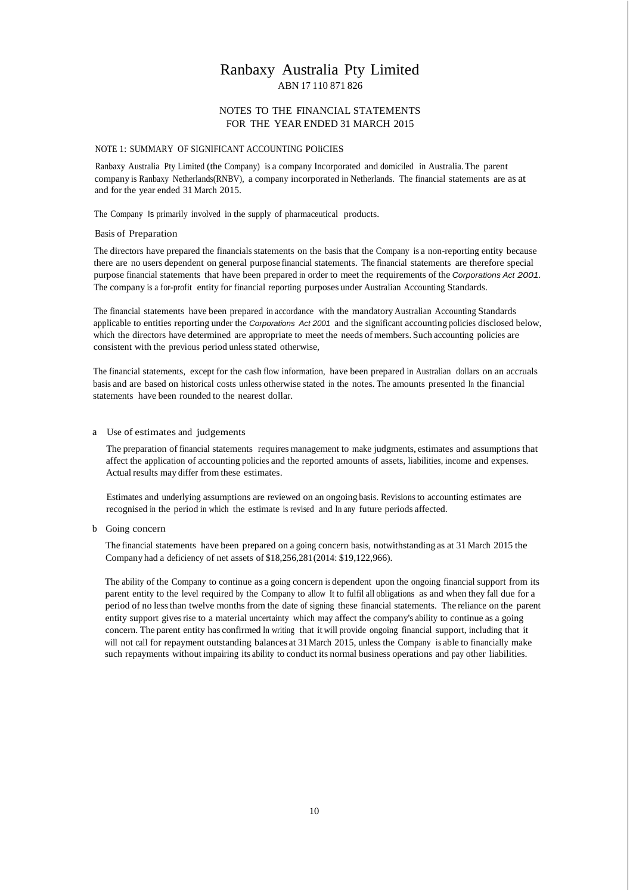#### NOTES TO THE FINANCIAL STATEMENTS FOR THE YEAR ENDED 31 MARCH 2015

#### NOTE 1: SUMMARY OF SIGNIFICANT ACCOUNTING POliCIES

Ranbaxy Australia Pty Limited (the Company) is a company Incorporated and domiciled in Australia.The parent company is Ranbaxy Netherlands(RNBV), a company incorporated in Netherlands. The financial statements are as at and for the year ended 31 March 2015.

The Company Is primarily involved in the supply of pharmaceutical products.

#### Basis of Preparation

The directors have prepared the financials statements on the basis that the Company is a non-reporting entity because there are no users dependent on general purpose financial statements. The financial statements are therefore special purpose financial statements that have been prepared in order to meet the requirements of the *Corporations Act 2001.*  The company is a for-profit entity for financial reporting purposes under Australian Accounting Standards.

The financial statements have been prepared in accordance with the mandatory Australian Accounting Standards applicable to entities reporting under the *Corporations Act 2001* and the significant accounting policies disclosed below, which the directors have determined are appropriate to meet the needs of members. Such accounting policies are consistent with the previous period unless stated otherwise,

The financial statements, except for the cash flow information, have been prepared in Australian dollars on an accruals basis and are based on historical costs unless otherwise stated in the notes. The amounts presented In the financial statements have been rounded to the nearest dollar.

#### a Use of estimates and judgements

The preparation of financial statements requires management to make judgments, estimates and assumptions that affect the application of accounting policies and the reported amounts of assets, liabilities, income and expenses. Actual results may differ from these estimates.

Estimates and underlying assumptions are reviewed on an ongoing basis. Revisionsto accounting estimates are recognised in the period in which the estimate is revised and In any future periods affected.

b Going concern

The financial statements have been prepared on a going concern basis, notwithstanding as at 31 March 2015 the Company had a deficiency of net assets of \$18,256,281(2014: \$19,122,966).

The ability of the Company to continue as a going concern is dependent upon the ongoing financial support from its parent entity to the level required by the Company to allow It to fulfil all obligations as and when they fall due for a period of no lessthan twelve months from the date of signing these financial statements. The reliance on the parent entity support gives rise to a material uncertainty which may affect the company's ability to continue as a going concern. The parent entity has confirmed In writing that it will provide ongoing financial support, including that it will not call for repayment outstanding balances at 31 March 2015, unless the Company is able to financially make such repayments without impairing its ability to conduct its normal business operations and pay other liabilities.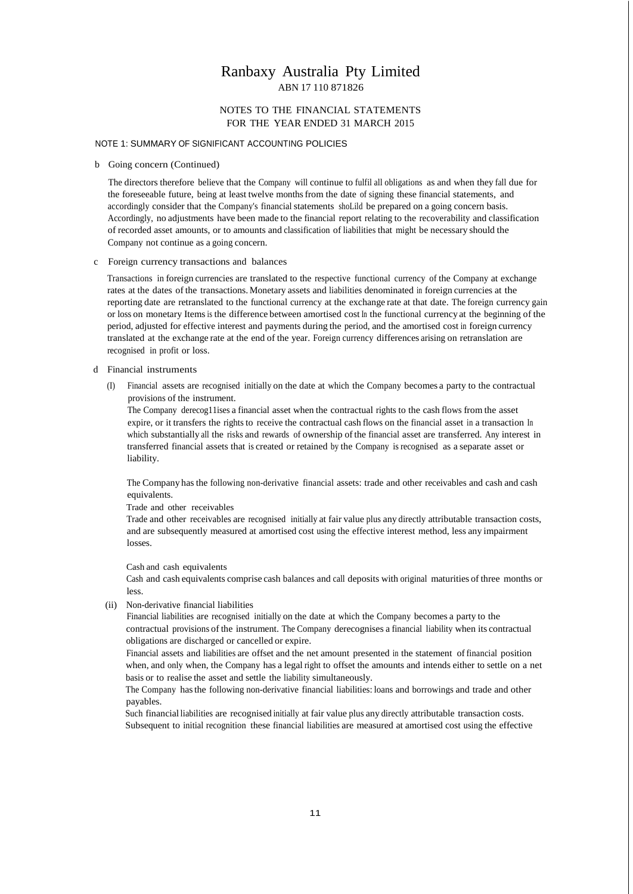#### NOTES TO THE FINANCIAL STATEMENTS FOR THE YEAR ENDED 31 MARCH 2015

#### NOTE 1: SUMMARY OF SIGNIFICANT ACCOUNTING POLICIES

b Going concern (Continued)

The directors therefore believe that the Company will continue to fulfil all obligations as and when they fall due for the foreseeable future, being at least twelve monthsfrom the date of signing these financial statements, and accordingly consider that the Company's financial statements shoLild be prepared on a going concern basis. Accordingly, no adjustments have been made to the financial report relating to the recoverability and classification of recorded asset amounts, or to amounts and classification of liabilities that might be necessary should the Company not continue as a going concern.

#### c Foreign currency transactions and balances

Transactions in foreign currencies are translated to the respective functional currency of the Company at exchange rates at the dates of the transactions. Monetary assets and liabilities denominated in foreign currencies at the reporting date are retranslated to the functional currency at the exchange rate at that date. The foreign currency gain or loss on monetary Itemsis the difference between amortised cost In the functional currency at the beginning of the period, adjusted for effective interest and payments during the period, and the amortised cost in foreign currency translated at the exchange rate at the end of the year. Foreign currency differences arising on retranslation are recognised in profit or loss.

- d Financial instruments
	- (I) Financial assets are recognised initially on the date at which the Company becomes a party to the contractual provisions of the instrument.

The Company derecog11ises a financial asset when the contractual rights to the cash flows from the asset expire, or it transfers the rights to receive the contractual cash flows on the financial asset in a transaction In which substantially all the risks and rewards of ownership of the financial asset are transferred. Any interest in transferred financial assets that is created or retained by the Company is recognised as a separate asset or liability.

The Company has the following non-derivative financial assets: trade and other receivables and cash and cash equivalents.

#### Trade and other receivables

Trade and other receivables are recognised initially at fair value plus any directly attributable transaction costs, and are subsequently measured at amortised cost using the effective interest method, less any impairment losses.

Cash and cash equivalents

Cash and cash equivalents comprise cash balances and call deposits with original maturities of three months or less.

(ii) Non-derivative financial liabilities

Financial liabilities are recognised initially on the date at which the Company becomes a party to the contractual provisions of the instrument. The Company derecognises a financial liability when its contractual obligations are discharged or cancelled or expire.

Financial assets and liabilities are offset and the net amount presented in the statement offinancial position when, and only when, the Company has a legal right to offset the amounts and intends either to settle on a net basis or to realise the asset and settle the liability simultaneously.

The Company hasthe following non-derivative financial liabilities: loans and borrowings and trade and other payables.

Such financial liabilities are recognised initially at fair value plus any directly attributable transaction costs. Subsequent to initial recognition these financial liabilities are measured at amortised cost using the effective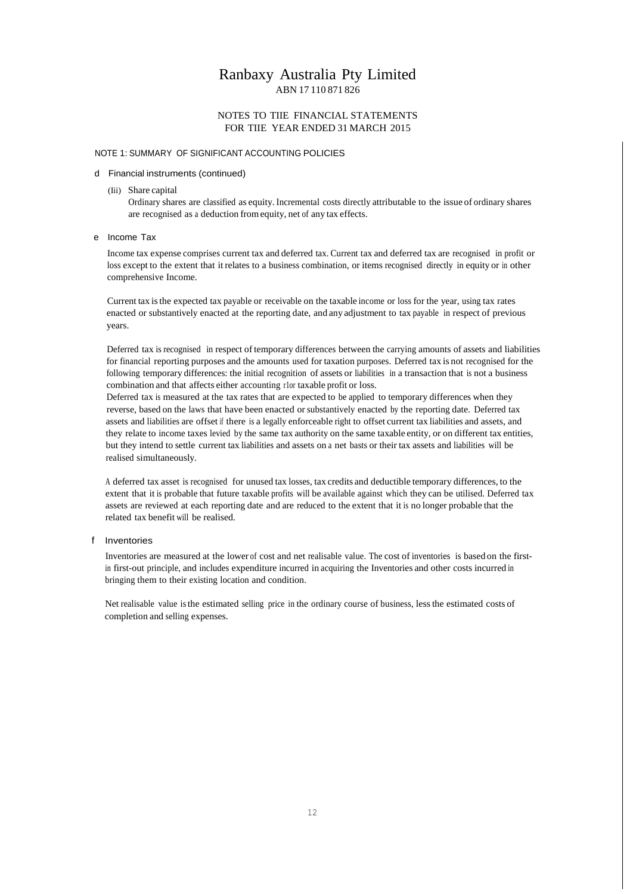#### NOTES TO TIIE FINANCIAL STATEMENTS FOR TIIE YEAR ENDED 31 MARCH 2015

#### NOTE 1: SUMMARY OF SIGNIFICANT ACCOUNTING POLICIES

- d Financial instruments (continued)
	- (Iii) Share capital

Ordinary shares are classified as equity. Incremental costs directly attributable to the issue of ordinary shares are recognised as a deduction fromequity, net of any tax effects.

e Income Tax

Income tax expense comprises current tax and deferred tax. Current tax and deferred tax are recognised in profit or loss except to the extent that it relates to a business combination, or items recognised directly in equity or in other comprehensive Income.

Current tax isthe expected tax payable or receivable on the taxable income or loss for the year, using tax rates enacted or substantively enacted at the reporting date, and any adjustment to tax payable in respect of previous years.

Deferred tax is recognised in respect of temporary differences between the carrying amounts of assets and liabilities for financial reporting purposes and the amounts used for taxation purposes. Deferred tax is not recognised for the following temporary differences: the initial recognition of assets or liabilities in a transaction that is not a business combination and that affects either accounting r1or taxable profit or loss.

Deferred tax is measured at the tax rates that are expected to be applied to temporary differences when they reverse, based on the laws that have been enacted orsubstantively enacted by the reporting date. Deferred tax assets and liabilities are offset if there is a legally enforceable right to offset current tax liabilities and assets, and they relate to income taxes levied by the same tax authority on the same taxable entity, or on different tax entities, but they intend to settle current tax liabilities and assets on a net basts or their tax assets and liabilities will be realised simultaneously.

<sup>A</sup> deferred tax asset is recognised for unused tax losses, tax credits and deductible temporary differences, to the extent that it is probable that future taxable profits will be available against which they can be utilised. Deferred tax assets are reviewed at each reporting date and are reduced to the extent that it is no longer probable that the related tax benefit will be realised.

#### f Inventories

Inventories are measured at the lower of cost and net realisable value. The cost of inventories is based on the firstin first-out principle, and includes expenditure incurred in acquiring the Inventories and other costs incurred in bringing them to their existing location and condition.

Net realisable value isthe estimated selling price in the ordinary course of business, lessthe estimated costs of completion and selling expenses.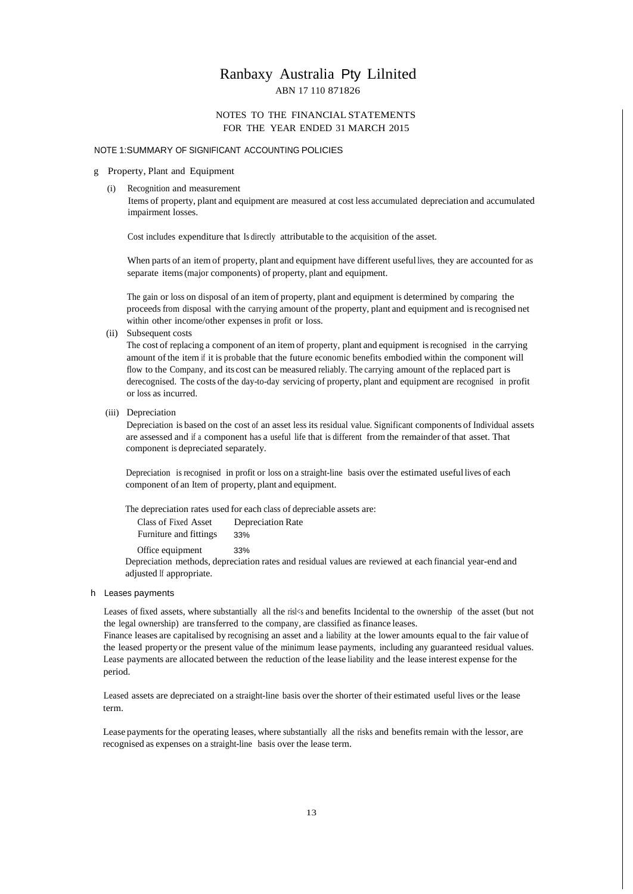#### NOTES TO THE FINANCIAL STATEMENTS FOR THE YEAR ENDED 31 MARCH 2015

#### NOTE 1:SUMMARY OF SIGNIFICANT ACCOUNTING POLICIES

- g Property, Plant and Equipment
	- (i) Recognition and measurement

Items of property, plant and equipment are measured at cost less accumulated depreciation and accumulated impairment losses.

Cost includes expenditure that Is directly attributable to the acquisition of the asset.

When parts of an item of property, plant and equipment have different useful lives, they are accounted for as separate items(major components) of property, plant and equipment.

The gain or loss on disposal of an item of property, plant and equipment is determined by comparing the proceeds from disposal with the carrying amount ofthe property, plant and equipment and isrecognised net within other income/other expenses in profit or loss.

(ii) Subsequent costs

The cost of replacing a component of an item of property, plant and equipment isrecognised in the carrying amount of the item if it is probable that the future economic benefits embodied within the component will flow to the Company, and its cost can be measured reliably. The carrying amount ofthe replaced part is derecognised. The costs of the day-to-day servicing of property, plant and equipment are recognised in profit or loss as incurred.

(iii) Depreciation

Depreciation is based on the cost of an asset less its residual value. Significant components of Individual assets are assessed and if a component has a useful life that is different from the remainder of that asset. That component is depreciated separately.

Depreciation is recognised in profit or loss on a straight-line basis over the estimated useful lives of each component of an Item of property, plant and equipment.

The depreciation rates used for each class of depreciable assets are:

| Class of Fixed Asset   | <b>Depreciation Rate</b> |
|------------------------|--------------------------|
| Furniture and fittings | 33%                      |

Office equipment 33%

Depreciation methods, depreciation rates and residual values are reviewed at each financial year-end and adjusted If appropriate.

h Leases payments

Leases of fixed assets, where substantially all the risl<s and benefits Incidental to the ownership of the asset (but not the legal ownership) are transferred to the company, are classified asfinance leases.

Finance leases are capitalised by recognising an asset and a liability at the lower amounts equal to the fair value of the leased property or the present value of the minimum lease payments, including any guaranteed residual values. Lease payments are allocated between the reduction of the lease liability and the lease interest expense for the period.

Leased assets are depreciated on a straight-line basis over the shorter of their estimated useful lives or the lease term.

Lease payments for the operating leases, where substantially all the risks and benefits remain with the lessor, are recognised as expenses on a straight-line basis over the lease term.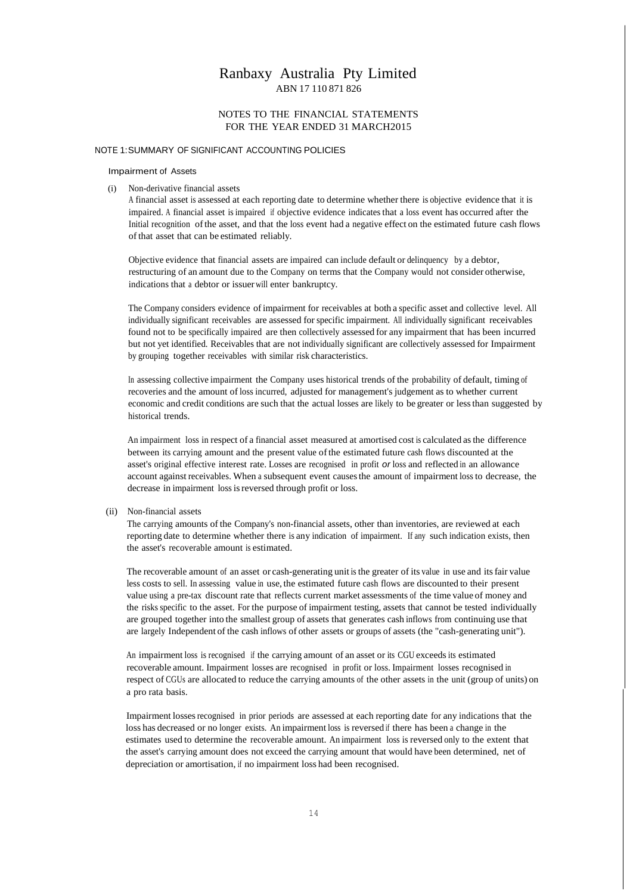#### NOTES TO THE FINANCIAL STATEMENTS FOR THE YEAR ENDED 31 MARCH2015

#### NOTE 1:SUMMARY OF SIGNIFICANT ACCOUNTING POLICIES

#### Impairment of Assets

(i) Non-derivative financial assets

<sup>A</sup> financial asset is assessed at each reporting date to determine whether there is objective evidence that it is impaired. A financial asset is impaired if objective evidence indicates that a loss event has occurred after the Initial recognition ofthe asset, and that the loss event had a negative effect on the estimated future cash flows of that asset that can be estimated reliably.

Objective evidence that financial assets are impaired can include default or delinquency by a debtor, restructuring of an amount due to the Company on terms that the Company would not consider otherwise, indications that a debtor or issuer will enter bankruptcy.

The Company considers evidence ofimpairment for receivables at both a specific asset and collective level. All individually significant receivables are assessed forspecific impairment. All individually significant receivables found not to be specifically impaired are then collectively assessed for any impairment that has been incurred but not yet identified. Receivables that are not individually significant are collectively assessed for Impairment by grouping together receivables with similar risk characteristics.

In assessing collective impairment the Company uses historical trends of the probability of default, timing of recoveries and the amount of loss incurred, adjusted for management's judgement as to whether current economic and credit conditions are such that the actual losses are likely to be greater or lessthan suggested by historical trends.

An impairment loss in respect of a financial asset measured at amortised cost is calculated asthe difference between its carrying amount and the present value of the estimated future cash flows discounted at the asset's original effective interest rate. Losses are recognised in profit *or* loss and reflected in an allowance account against receivables. When a subsequent event causesthe amount of impairment loss to decrease, the decrease in impairment loss is reversed through profit or loss.

(ii) Non-financial assets

The carrying amounts of the Company's non-financial assets, other than inventories, are reviewed at each reporting date to determine whether there is any indication of impairment. If any such indication exists, then the asset's recoverable amount is estimated.

The recoverable amount of an asset or cash-generating unit is the greater of its value in use and its fair value less costs to sell. In assessing value in use, the estimated future cash flows are discounted to their present value using a pre-tax discount rate that reflects current market assessments of the time value of money and the risks specific to the asset. For the purpose of impairment testing, assets that cannot be tested individually are grouped together into the smallest group of assets that generates cash inflows from continuing use that are largely Independent of the cash inflows of other assets or groups of assets (the "cash-generating unit").

An impairment loss is recognised if the carrying amount of an asset or its CGU exceeds its estimated recoverable amount. Impairment losses are recognised in profit or loss. Impairment losses recognised in respect of CGUs are allocated to reduce the carrying amounts of the other assets in the unit (group of units) on a pro rata basis.

Impairment lossesrecognised in prior periods are assessed at each reporting date for any indications that the loss has decreased or no longer exists. An impairment loss is reversed if there has been a change in the estimates used to determine the recoverable amount. An impairment loss is reversed only to the extent that the asset's carrying amount does not exceed the carrying amount that would have been determined, net of depreciation or amortisation, if no impairment loss had been recognised.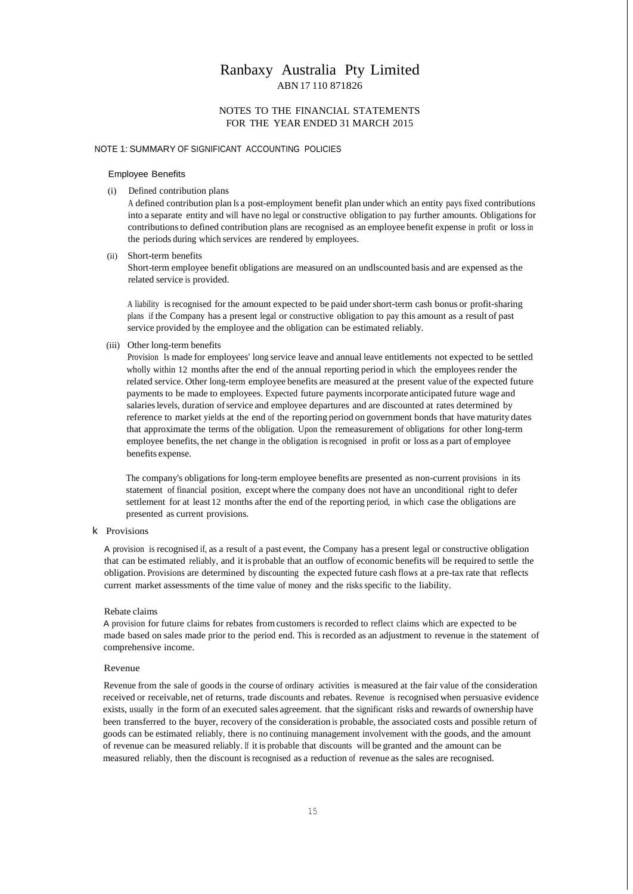#### NOTES TO THE FINANCIAL STATEMENTS FOR THE YEAR ENDED 31 MARCH 2015

#### NOTE 1: SUMMARY OF SIGNIFICANT ACCOUNTING POLICIES

#### Employee Benefits

(i) Defined contribution plans

A defined contribution plan Is a post-employment benefit plan under which an entity pays fixed contributions into a separate entity and will have no legal or constructive obligation to pay further amounts. Obligations for contributionsto defined contribution plans are recognised as an employee benefit expense in profit or lossin the periods during which services are rendered by employees.

(ii) Short-term benefits

Short-term employee benefit obligations are measured on an undlscounted basis and are expensed as the related service is provided.

A liability isrecognised for the amount expected to be paid undershort-term cash bonus or profit-sharing plans if the Company has a present legal or constructive obligation to pay this amount as a result of past service provided by the employee and the obligation can be estimated reliably.

#### (iii) Other long-term benefits

Provision Is made for employees' long service leave and annual leave entitlements not expected to be settled wholly within 12 months after the end of the annual reporting period in which the employees render the related service. Other long-term employee benefits are measured at the present value of the expected future payments to be made to employees. Expected future paymentsincorporate anticipated future wage and salaries levels, duration of service and employee departures and are discounted at rates determined by reference to market yields at the end of the reporting period on government bonds that have maturity dates that approximate the terms of the obligation. Upon the remeasurement of obligations for other long-term employee benefits, the net change in the obligation isrecognised in profit or loss as a part of employee benefits expense.

The company's obligations for long-term employee benefits are presented as non-current provisions in its statement of financial position, except where the company does not have an unconditional right to defer settlement for at least 12 months after the end of the reporting period, in which case the obligations are presented as current provisions.

#### k Provisions

A provision is recognised if, as a result of a past event, the Company has a present legal or constructive obligation that can be estimated reliably, and it is probable that an outflow of economic benefits will be required to settle the obligation. Provisions are determined by discounting the expected future cash flows at a pre-tax rate that reflects current market assessments of the time value of money and the risks specific to the liability.

#### Rebate claims

A provision for future claims for rebates fromcustomers is recorded to reflect claims which are expected to be made based on sales made prior to the period end. This is recorded as an adjustment to revenue in the statement of comprehensive income.

#### Revenue

Revenue from the sale of goods in the course of ordinary activities is measured at the fair value of the consideration received or receivable, net of returns, trade discounts and rebates. Revenue is recognised when persuasive evidence exists, usually in the form of an executed sales agreement. that the significant risks and rewards of ownership have been transferred to the buyer, recovery of the consideration is probable, the associated costs and possible return of goods can be estimated reliably, there is no continuing management involvement with the goods, and the amount of revenue can be measured reliably. If it is probable that discounts will be granted and the amount can be measured reliably, then the discount is recognised as a reduction of revenue as the sales are recognised.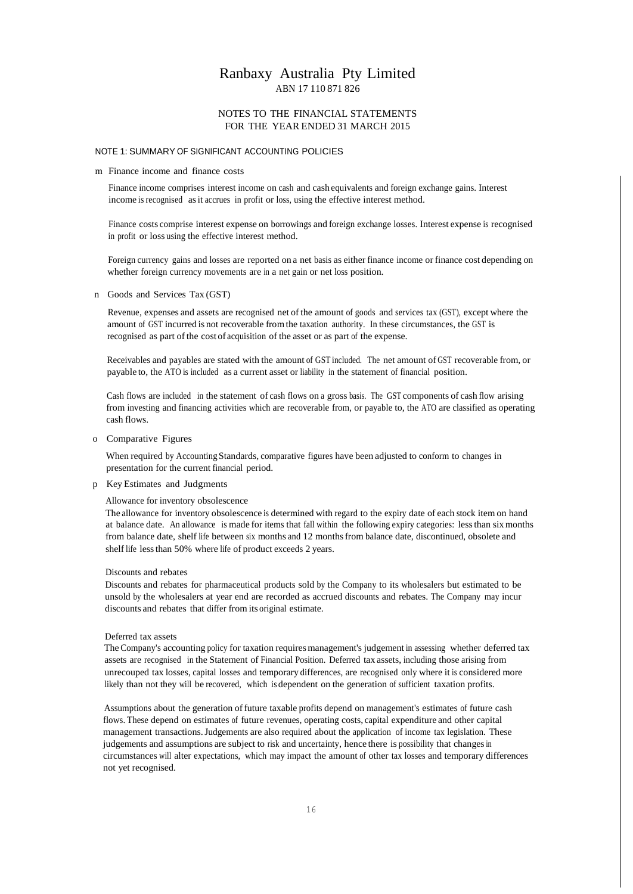#### NOTES TO THE FINANCIAL STATEMENTS FOR THE YEAR ENDED 31 MARCH 2015

#### NOTE 1: SUMMARY OF SIGNIFICANT ACCOUNTING POLICIES

#### m Finance income and finance costs

Finance income comprises interest income on cash and cash equivalents and foreign exchange gains. Interest income is recognised asit accrues in profit or loss, using the effective interest method.

Finance costs comprise interest expense on borrowings and foreign exchange losses. Interest expense is recognised in profit or loss using the effective interest method.

Foreign currency gains and losses are reported on a net basis as either finance income or finance cost depending on whether foreign currency movements are in a net gain or net loss position.

n Goods and Services Tax (GST)

Revenue, expenses and assets are recognised net of the amount of goods and services tax (GST), except where the amount of GST incurred is not recoverable fromthe taxation authority. In these circumstances, the GST is recognised as part of the cost of acquisition of the asset or as part of the expense.

Receivables and payables are stated with the amount of GST included. The net amount of GST recoverable from, or payable to, the ATO is included as a current asset or liability in the statement of financial position.

Cash flows are included in the statement of cash flows on a gross basis. The GST components of cash flow arising from investing and financing activities which are recoverable from, or payable to, the ATO are classified as operating cash flows.

o Comparative Figures

When required by AccountingStandards, comparative figures have been adjusted to conform to changes in presentation for the current financial period.

p Key Estimates and Judgments

#### Allowance for inventory obsolescence

The allowance for inventory obsolescence is determined with regard to the expiry date of each stock item on hand at balance date. An allowance is made for items that fall within the following expiry categories: lessthan sixmonths from balance date, shelf life between six months and 12 monthsfrom balance date, discontinued, obsolete and shelf life lessthan 50% where life of product exceeds 2 years.

#### Discounts and rebates

Discounts and rebates for pharmaceutical products sold by the Company to its wholesalers but estimated to be unsold by the wholesalers at year end are recorded as accrued discounts and rebates. The Company may incur discounts and rebates that differ from its original estimate.

#### Deferred tax assets

The Company's accounting policy for taxation requires management's judgement in assessing whether deferred tax assets are recognised in the Statement of Financial Position. Deferred tax assets, including those arising from unrecouped tax losses, capital losses and temporary differences, are recognised only where it is considered more likely than not they will be recovered, which is dependent on the generation of sufficient taxation profits.

Assumptions about the generation offuture taxable profits depend on management's estimates of future cash flows. These depend on estimates of future revenues, operating costs, capital expenditure and other capital management transactions.Judgements are also required about the application of income tax legislation. These judgements and assumptions are subject to risk and uncertainty, hence there is possibility that changesin circumstances will alter expectations, which may impact the amount of other tax losses and temporary differences not yet recognised.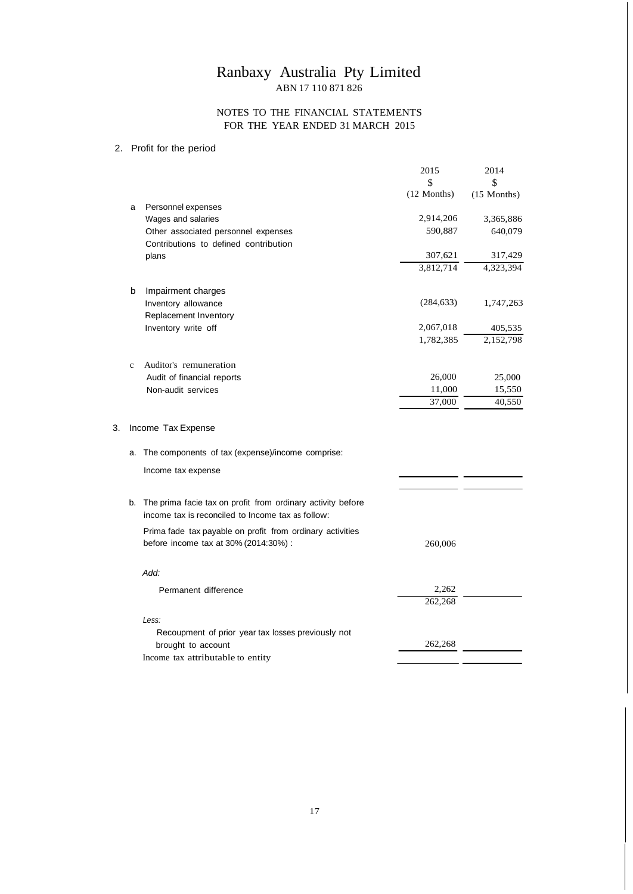### NOTES TO THE FINANCIAL STATEMENTS FOR THE YEAR ENDED 31 MARCH 2015

### 2. Profit for the period

|    |             |                                                                | 2015          | 2014        |
|----|-------------|----------------------------------------------------------------|---------------|-------------|
|    |             |                                                                | \$            | \$          |
|    |             |                                                                | $(12$ Months) | (15 Months) |
|    | a           | Personnel expenses                                             |               |             |
|    |             | Wages and salaries                                             | 2,914,206     | 3,365,886   |
|    |             | Other associated personnel expenses                            | 590,887       | 640,079     |
|    |             | Contributions to defined contribution                          |               |             |
|    |             | plans                                                          | 307,621       | 317,429     |
|    |             |                                                                | 3,812,714     | 4,323,394   |
|    |             |                                                                |               |             |
|    | b           | Impairment charges                                             |               |             |
|    |             | Inventory allowance                                            | (284, 633)    | 1,747,263   |
|    |             | Replacement Inventory                                          |               |             |
|    |             | Inventory write off                                            | 2,067,018     | 405,535     |
|    |             |                                                                | 1,782,385     | 2,152,798   |
|    |             |                                                                |               |             |
|    | $\mathbf c$ | Auditor's remuneration                                         |               |             |
|    |             | Audit of financial reports                                     | 26,000        | 25,000      |
|    |             | Non-audit services                                             | 11,000        | 15,550      |
|    |             |                                                                | 37,000        | 40,550      |
|    |             |                                                                |               |             |
| 3. |             | Income Tax Expense                                             |               |             |
|    |             |                                                                |               |             |
|    | a.          | The components of tax (expense)/income comprise:               |               |             |
|    |             | Income tax expense                                             |               |             |
|    |             |                                                                |               |             |
|    |             |                                                                |               |             |
|    |             | b. The prima facie tax on profit from ordinary activity before |               |             |
|    |             | income tax is reconciled to Income tax as follow:              |               |             |
|    |             | Prima fade tax payable on profit from ordinary activities      |               |             |
|    |             | before income tax at 30% (2014:30%) :                          | 260,006       |             |
|    |             |                                                                |               |             |
|    |             | Add:                                                           |               |             |
|    |             |                                                                |               |             |
|    |             | Permanent difference                                           | 2,262         |             |
|    |             |                                                                | 262,268       |             |
|    |             | Less:                                                          |               |             |
|    |             | Recoupment of prior year tax losses previously not             |               |             |
|    |             | brought to account                                             | 262,268       |             |
|    |             | Income tax attributable to entity                              |               |             |
|    |             |                                                                |               |             |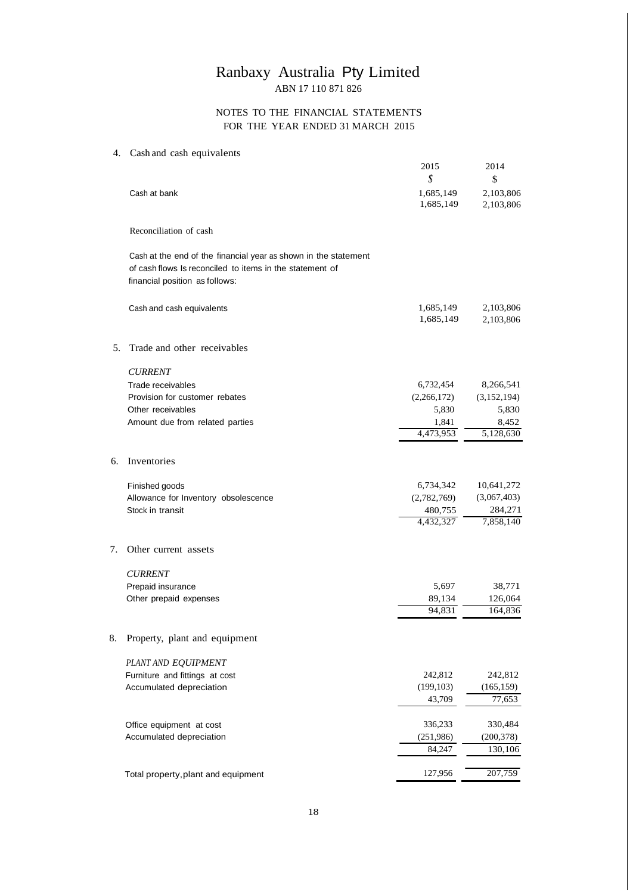### NOTES TO THE FINANCIAL STATEMENTS FOR THE YEAR ENDED 31 MARCH 2015

4. Cash and cash equivalents

|    |                                                                                                                                                               | 2015<br>\$             | 2014<br>\$             |
|----|---------------------------------------------------------------------------------------------------------------------------------------------------------------|------------------------|------------------------|
|    | Cash at bank                                                                                                                                                  | 1,685,149              | 2,103,806              |
|    |                                                                                                                                                               | 1,685,149              | 2,103,806              |
|    | Reconciliation of cash                                                                                                                                        |                        |                        |
|    | Cash at the end of the financial year as shown in the statement<br>of cash flows Is reconciled to items in the statement of<br>financial position as follows: |                        |                        |
|    | Cash and cash equivalents                                                                                                                                     | 1,685,149<br>1,685,149 | 2,103,806<br>2,103,806 |
| 5. | Trade and other receivables                                                                                                                                   |                        |                        |
|    | <b>CURRENT</b>                                                                                                                                                |                        |                        |
|    | Trade receivables                                                                                                                                             | 6,732,454              | 8,266,541              |
|    | Provision for customer rebates                                                                                                                                | (2,266,172)            | (3, 152, 194)          |
|    | Other receivables                                                                                                                                             | 5,830                  | 5,830                  |
|    | Amount due from related parties                                                                                                                               | 1,841                  | 8,452                  |
|    |                                                                                                                                                               | 4,473,953              | 5,128,630              |
| 6. | <b>Inventories</b>                                                                                                                                            |                        |                        |
|    | Finished goods                                                                                                                                                | 6,734,342              | 10,641,272             |
|    | Allowance for Inventory obsolescence                                                                                                                          | (2,782,769)            | (3,067,403)            |
|    | Stock in transit                                                                                                                                              | 480,755                | 284,271                |
|    |                                                                                                                                                               | 4,432,327              | 7,858,140              |
| 7. | Other current assets                                                                                                                                          |                        |                        |
|    | <b>CURRENT</b>                                                                                                                                                |                        |                        |
|    | Prepaid insurance                                                                                                                                             | 5,697                  | 38,771                 |
|    | Other prepaid expenses                                                                                                                                        | 89,134                 | 126,064                |
|    |                                                                                                                                                               | 94,831                 | 164,836                |
| 8. | Property, plant and equipment                                                                                                                                 |                        |                        |
|    | PLANT AND EQUIPMENT                                                                                                                                           |                        |                        |
|    | Furniture and fittings at cost                                                                                                                                | 242,812                | 242,812                |
|    | Accumulated depreciation                                                                                                                                      | (199, 103)             | (165, 159)             |
|    |                                                                                                                                                               | 43,709                 | 77,653                 |
|    | Office equipment at cost                                                                                                                                      | 336,233                | 330,484                |
|    | Accumulated depreciation                                                                                                                                      | (251,986)              | (200, 378)             |
|    |                                                                                                                                                               | 84,247                 | 130,106                |
|    | Total property, plant and equipment                                                                                                                           | 127,956                | 207,759                |
|    |                                                                                                                                                               |                        |                        |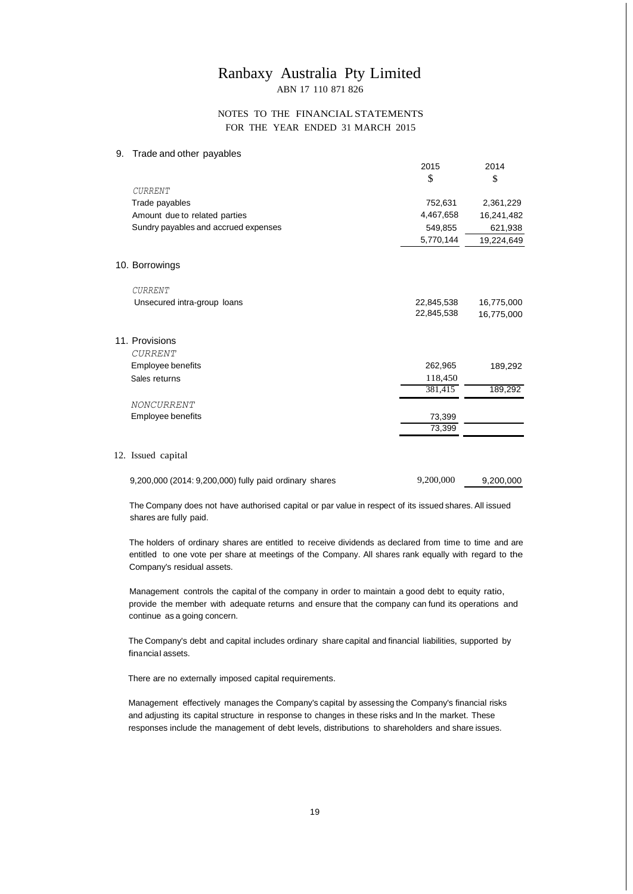# Ranbaxy Australia Pty Limited

ABN 17 110 871 826

#### NOTES TO THE FINANCIAL STATEMENTS FOR THE YEAR ENDED 31 MARCH 2015

9. Trade and other payables

|                                                        | 2015       | 2014       |
|--------------------------------------------------------|------------|------------|
|                                                        | \$         | \$         |
| <b>CURRENT</b>                                         |            |            |
| Trade payables                                         | 752,631    | 2,361,229  |
| Amount due to related parties                          | 4,467,658  | 16,241,482 |
| Sundry payables and accrued expenses                   | 549,855    | 621,938    |
|                                                        | 5,770,144  | 19,224,649 |
| 10. Borrowings                                         |            |            |
| <b>CURRENT</b>                                         |            |            |
| Unsecured intra-group loans                            | 22,845,538 | 16,775,000 |
|                                                        | 22,845,538 | 16,775,000 |
| 11. Provisions                                         |            |            |
| <b>CURRENT</b>                                         |            |            |
| Employee benefits                                      | 262,965    | 189,292    |
| Sales returns                                          | 118,450    |            |
|                                                        | 381,415    | 189,292    |
| NONCURRENT                                             |            |            |
| Employee benefits                                      | 73,399     |            |
|                                                        | 73,399     |            |
| 12. Issued capital                                     |            |            |
| 9,200,000 (2014: 9,200,000) fully paid ordinary shares | 9,200,000  | 9,200,000  |

The Company does not have authorised capital or par value in respect of its issued shares.All issued shares are fully paid.

The holders of ordinary shares are entitled to receive dividends as declared from time to time and are entitled to one vote per share at meetings of the Company. All shares rank equally with regard to the Company's residual assets.

Management controls the capital of the company in order to maintain a good debt to equity ratio, provide the member with adequate returns and ensure that the company can fund its operations and continue as a going concern.

The Company's debt and capital includes ordinary share capital and financial liabilities, supported by financiaI assets.

There are no externally imposed capital requirements.

Management effectively manages the Company's capital by assessing the Company's financial risks and adjusting its capital structure in response to changes in these risks and In the market. These responses include the management of debt levels, distributions to shareholders and share issues.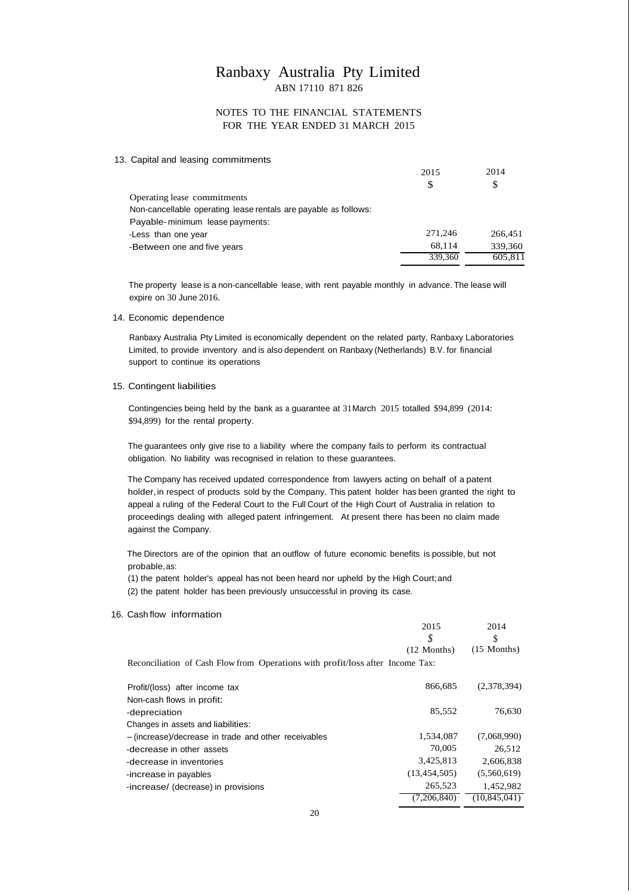#### NOTES TO THE FINANCIAL STATEMENTS FOR THE YEAR ENDED 31 MARCH 2015

#### 13. Capital and leasing commitments

|                                                                 | 2015    | 2014    |
|-----------------------------------------------------------------|---------|---------|
|                                                                 | S       | S       |
| Operating lease commitments                                     |         |         |
| Non-cancellable operating lease rentals are payable as follows: |         |         |
| Payable-minimum lease payments:                                 |         |         |
| -Less than one year                                             | 271,246 | 266.451 |
| -Between one and five years                                     | 68.114  | 339,360 |
|                                                                 | 339,360 | 605,811 |

The property lease is a non-cancellable lease, with rent payable monthly in advance. The lease will expire on 30 June 2016.

#### 14. Economic dependence

Ranbaxy Australia Pty Limited is economically dependent on the related party, Ranbaxy Laboratories Limited, to provide inventory and is also dependent on Ranbaxy (Netherlands) B.V. for financial support to continue its operations

#### 15. Contingent liabilities

Contingencies being held by the bank as a guarantee at 31March 2015 totalled \$94,899 (2014: \$94,899) for the rental property.

The guarantees only give rise to a liability where the company fails to perform its contractual obligation. No liability was recognised in relation to these guarantees.

The Company has received updated correspondence from lawyers acting on behalf of a patent holder, in respect of products sold by the Company. This patent holder has been granted the right to appeal a ruling of the Federal Court to the Full Court of the High Court of Australia in relation to proceedings dealing with alleged patent infringement. At present there has been no claim made against the Company.

The Directors are of the opinion that an outflow of future economic benefits is possible, but not probable,as:

(1) the patent holder's appeal has not been heard nor upheld by the High Court;and

(2) the patent holder has been previously unsuccessful in proving its case.

#### 16. Cash flow information

|                                                                                | 2015           | 2014               |
|--------------------------------------------------------------------------------|----------------|--------------------|
|                                                                                | \$             | S<br>$(15$ Months) |
|                                                                                | $(12$ Months)  |                    |
| Reconciliation of Cash Flow from Operations with profit/loss after Income Tax: |                |                    |
|                                                                                |                |                    |
| Profit/(loss) after income tax                                                 | 866,685        | (2,378,394)        |
| Non-cash flows in profit:                                                      |                |                    |
| -depreciation                                                                  | 85,552         | 76,630             |
| Changes in assets and liabilities:                                             |                |                    |
| - (increase)/decrease in trade and other receivables                           | 1,534,087      | (7,068,990)        |
| -decrease in other assets                                                      | 70,005         | 26,512             |
| -decrease in inventories                                                       | 3,425,813      | 2,606,838          |
| -increase in payables                                                          | (13, 454, 505) | (5,560,619)        |
| -increase/ (decrease) in provisions                                            | 265,523        | 1,452,982          |
|                                                                                | (7,206,840)    | (10, 845, 041)     |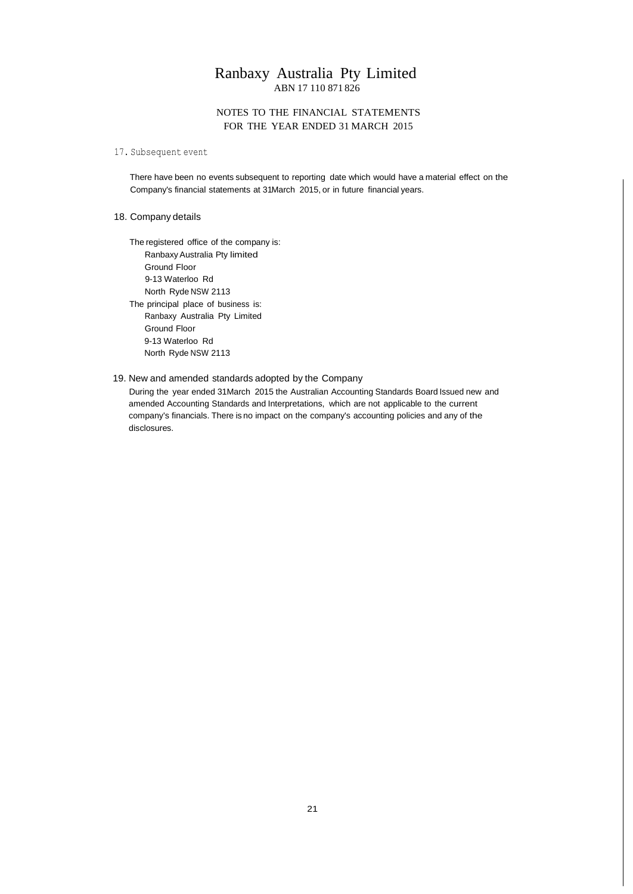NOTES TO THE FINANCIAL STATEMENTS FOR THE YEAR ENDED 31 MARCH 2015

#### 17. Subsequent event

There have been no events subsequent to reporting date which would have a material effect on the Company's financial statements at 31March 2015, or in future financial years.

#### 18. Company details

The registered office of the company is: Ranbaxy Australia Pty limited Ground Floor 9-13 Waterloo Rd North Ryde NSW 2113 The principal place of business is: Ranbaxy Australia Pty Limited Ground Floor 9-13 Waterloo Rd North Ryde NSW 2113

#### 19. New and amended standards adopted by the Company

During the year ended 31March 2015 the Australian Accounting Standards Board Issued new and amended Accounting Standards and Interpretations, which are not applicable to the current company's financials. There is no impact on the company's accounting policies and any of the disclosures.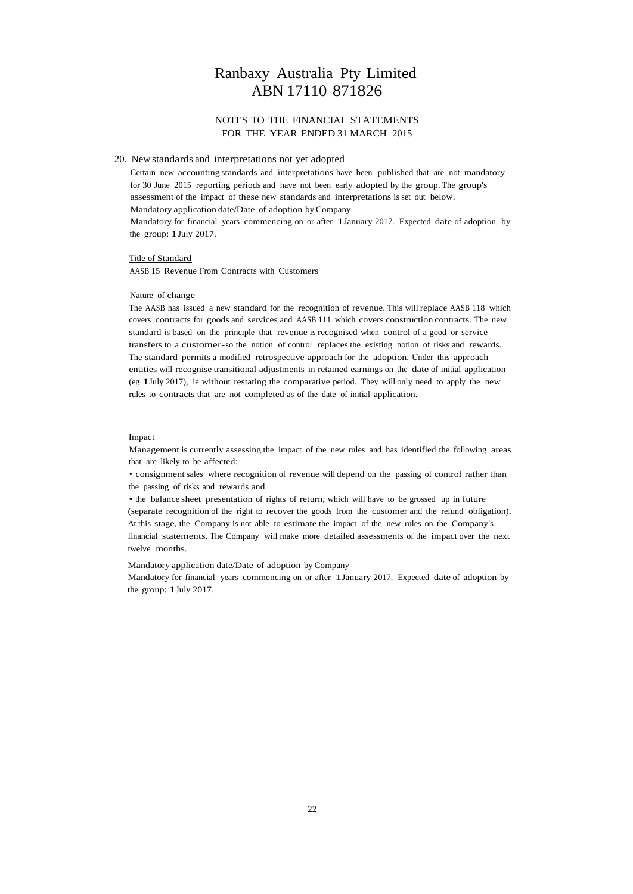### NOTES TO THE FINANCIAL STATEMENTS FOR THE YEAR ENDED 31 MARCH 2015

#### 20. New standards and interpretations not yet adopted

Certain new accounting standards and interpretations have been published that are not mandatory for 30 June 2015 reporting periods and have not been early adopted by the group. The group's assessment of the impact of these new standards and interpretations is set out below. Mandatory application date/Date of adoption by Company Mandatory for financial years commencing on or after 1January 2017. Expected date of adoption by

the group: 1July 2017.

#### Title of Standard

AASB 15 Revenue From Contracts with Customers

#### Nature of change

The AASB has issued a new standard for the recognition of revenue. This will replace AASB 118 which covers contracts for goods and services and AASB 111 which covers construction contracts. The new standard is based on the principle that revenue is recognised when control of a good or service transfers to a customer-so the notion of control replaces the existing notion of risks and rewards. The standard permits a modified retrospective approach for the adoption. Under this approach entities will recognise transitional adjustments in retained earnings on the date of initial application (eg 1July 2017), ie without restating the comparative period. They will only need to apply the new rules to contracts that are not completed as of the date of initial application.

#### Impact

Management is currently assessing the impact of the new rules and has identified the following areas that are likely to be affected:

• consignment sales where recognition of revenue will depend on the passing of control rather than the passing of risks and rewards and

• the balance sheet presentation of rights of return, which will have to be grossed up in future (separate recognition of the right to recover the goods from the customer and the refund obligation). At this stage, the Company is not able to estimate the impact of the new rules on the Company's financial statements. The Company will make more detailed assessments of the impact over the next twelve months.

Mandatory application date/Date of adoption by Company

Mandatory for financial years commencing on or after 1January 2017. Expected date of adoption by the group: 1July 2017.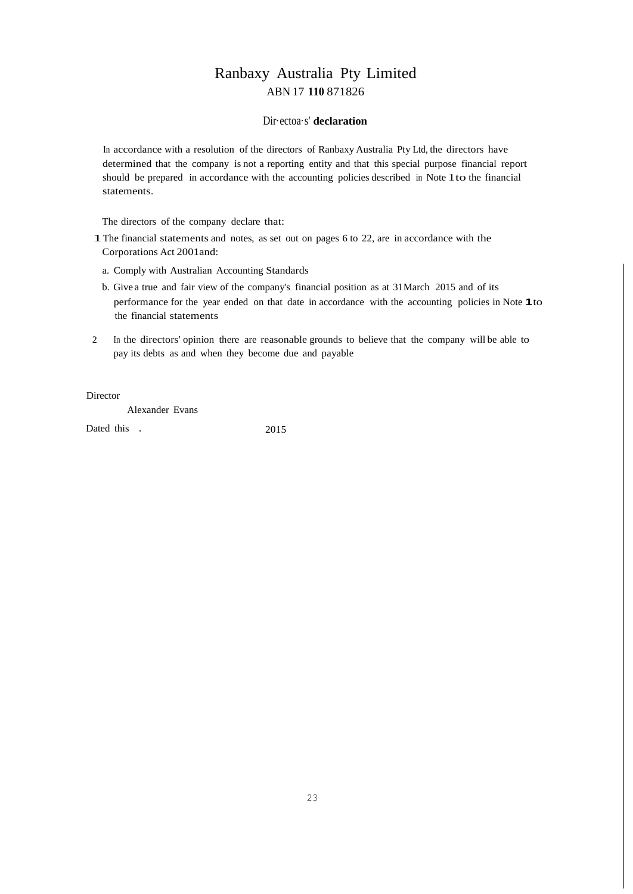### Dir·ectoa·s' **declaration**

In accordance with a resolution of the directors of Ranbaxy Australia Pty Ltd, the directors have determined that the company is not a reporting entity and that this special purpose financial report should be prepared in accordance with the accounting policies described in Note 1to the financial statements.

The directors of the company declare that:

1The financial statements and notes, as set out on pages <sup>6</sup> to 22, are in accordance with the Corporations Act 2001and:

a. Comply with Australian Accounting Standards

- b. Give a true and fair view of the company's financial position as at 31March 2015 and of its performance for the year ended on that date in accordance with the accounting policies in Note **1**to the financial statements
- 2 In the directors' opinion there are reasonable grounds to believe that the company will be able to pay its debts as and when they become due and payable

**Director** 

Alexander Evans

Dated this . 2015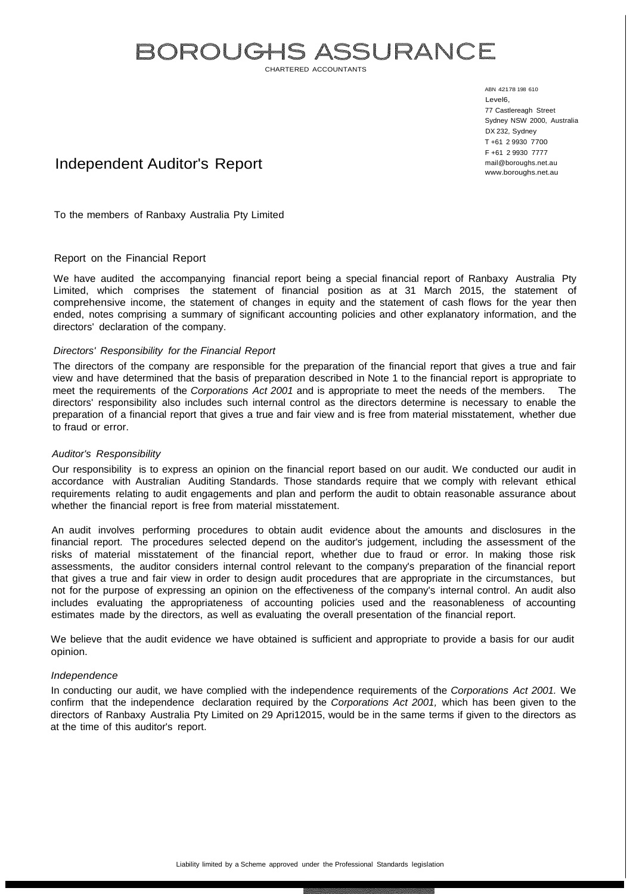# **BOROUGHS ASSURANCE**

CHARTERED ACCOUNTANTS

ABN 42178 198 610 Level6, 77 Castlereagh Street Sydney NSW 2000, Australia DX 232, Sydney T +61 2 9930 7700 F +61 2 9930 7777 [mail@boroughs.net.au](mailto:mail@boroughs.net.au) [www.boroughs.net.au](http://www.boroughs.net.au/)

# Independent Auditor's Report

To the members of Ranbaxy Australia Pty Limited

#### Report on the Financial Report

We have audited the accompanying financial report being a special financial report of Ranbaxy Australia Pty Limited, which comprises the statement of financial position as at 31 March 2015, the statement of comprehensive income, the statement of changes in equity and the statement of cash flows for the year then ended, notes comprising a summary of significant accounting policies and other explanatory information, and the directors' declaration of the company.

#### *Directors' Responsibility for the Financial Report*

The directors of the company are responsible for the preparation of the financial report that gives a true and fair view and have determined that the basis of preparation described in Note 1 to the financial report is appropriate to meet the requirements of the *Corporations Act 2001* and is appropriate to meet the needs of the members. The directors' responsibility also includes such internal control as the directors determine is necessary to enable the preparation of a financial report that gives a true and fair view and is free from material misstatement, whether due to fraud or error.

#### *Auditor's Responsibility*

Our responsibility is to express an opinion on the financial report based on our audit. We conducted our audit in accordance with Australian Auditing Standards. Those standards require that we comply with relevant ethical requirements relating to audit engagements and plan and perform the audit to obtain reasonable assurance about whether the financial report is free from material misstatement.

An audit involves performing procedures to obtain audit evidence about the amounts and disclosures in the financial report. The procedures selected depend on the auditor's judgement, including the assessment of the risks of material misstatement of the financial report, whether due to fraud or error. In making those risk assessments, the auditor considers internal control relevant to the company's preparation of the financial report that gives a true and fair view in order to design audit procedures that are appropriate in the circumstances, but not for the purpose of expressing an opinion on the effectiveness of the company's internal control. An audit also includes evaluating the appropriateness of accounting policies used and the reasonableness of accounting estimates made by the directors, as well as evaluating the overall presentation of the financial report.

We believe that the audit evidence we have obtained is sufficient and appropriate to provide a basis for our audit opinion.

#### *Independence*

In conducting our audit, we have complied with the independence requirements of the *Corporations Act 2001.* We confirm that the independence declaration required by the *Corporations Act 2001,* which has been given to the directors of Ranbaxy Australia Pty Limited on 29 Apri12015, would be in the same terms if given to the directors as at the time of this auditor's report.